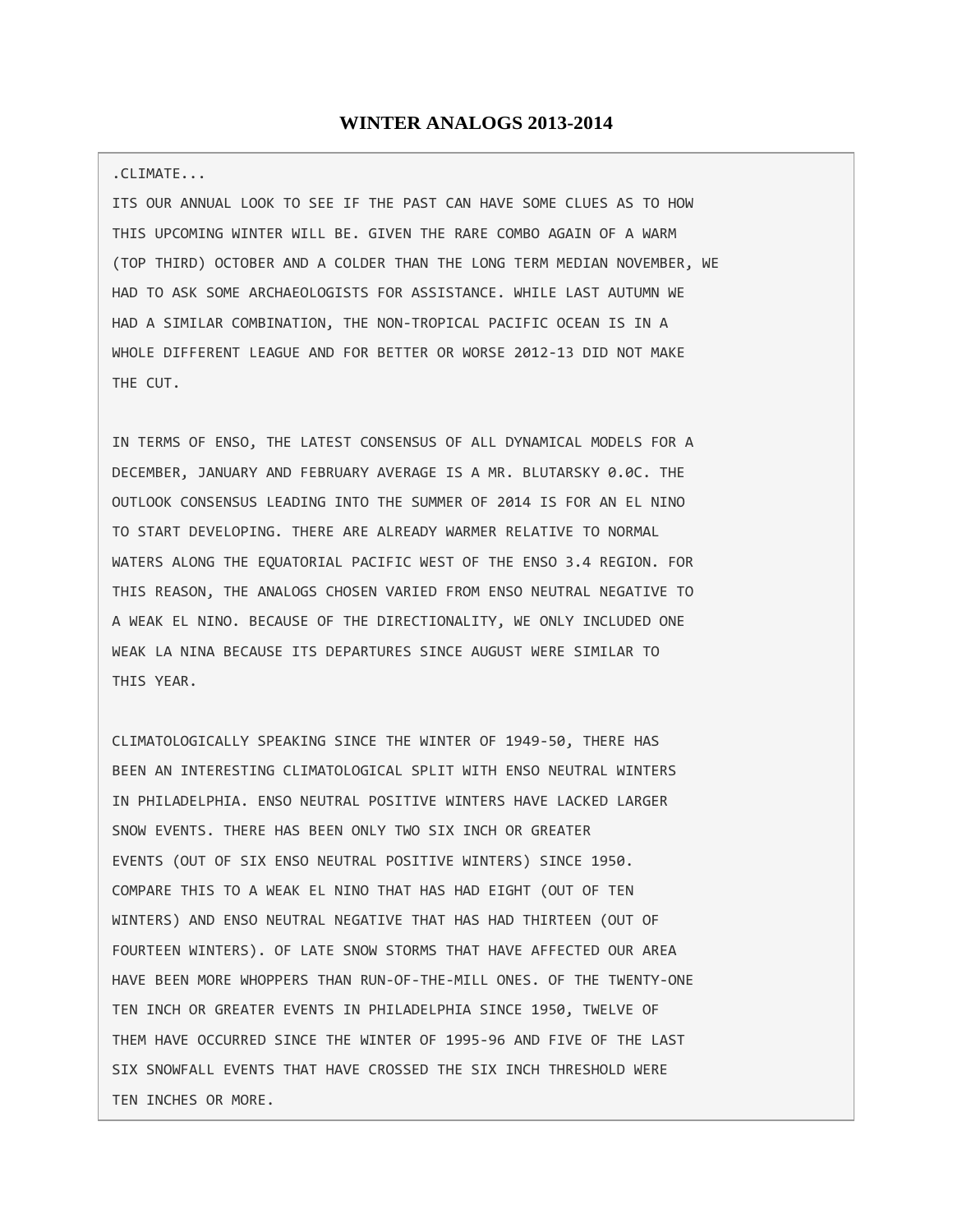## **WINTER ANALOGS 2013-2014**

## .CLIMATE...

ITS OUR ANNUAL LOOK TO SEE IF THE PAST CAN HAVE SOME CLUES AS TO HOW THIS UPCOMING WINTER WILL BE. GIVEN THE RARE COMBO AGAIN OF A WARM (TOP THIRD) OCTOBER AND A COLDER THAN THE LONG TERM MEDIAN NOVEMBER, WE HAD TO ASK SOME ARCHAEOLOGISTS FOR ASSISTANCE. WHILE LAST AUTUMN WE HAD A SIMILAR COMBINATION, THE NON-TROPICAL PACIFIC OCEAN IS IN A WHOLE DIFFERENT LEAGUE AND FOR BETTER OR WORSE 2012-13 DID NOT MAKE THE CUT.

IN TERMS OF ENSO, THE LATEST CONSENSUS OF ALL DYNAMICAL MODELS FOR A DECEMBER, JANUARY AND FEBRUARY AVERAGE IS A MR. BLUTARSKY 0.0C. THE OUTLOOK CONSENSUS LEADING INTO THE SUMMER OF 2014 IS FOR AN EL NINO TO START DEVELOPING. THERE ARE ALREADY WARMER RELATIVE TO NORMAL WATERS ALONG THE EQUATORIAL PACIFIC WEST OF THE ENSO 3.4 REGION. FOR THIS REASON, THE ANALOGS CHOSEN VARIED FROM ENSO NEUTRAL NEGATIVE TO A WEAK EL NINO. BECAUSE OF THE DIRECTIONALITY, WE ONLY INCLUDED ONE WEAK LA NINA BECAUSE ITS DEPARTURES SINCE AUGUST WERE SIMILAR TO THIS YEAR.

CLIMATOLOGICALLY SPEAKING SINCE THE WINTER OF 1949-50, THERE HAS BEEN AN INTERESTING CLIMATOLOGICAL SPLIT WITH ENSO NEUTRAL WINTERS IN PHILADELPHIA. ENSO NEUTRAL POSITIVE WINTERS HAVE LACKED LARGER SNOW EVENTS. THERE HAS BEEN ONLY TWO SIX INCH OR GREATER EVENTS (OUT OF SIX ENSO NEUTRAL POSITIVE WINTERS) SINCE 1950. COMPARE THIS TO A WEAK EL NINO THAT HAS HAD EIGHT (OUT OF TEN WINTERS) AND ENSO NEUTRAL NEGATIVE THAT HAS HAD THIRTEEN (OUT OF FOURTEEN WINTERS). OF LATE SNOW STORMS THAT HAVE AFFECTED OUR AREA HAVE BEEN MORE WHOPPERS THAN RUN-OF-THE-MILL ONES. OF THE TWENTY-ONE TEN INCH OR GREATER EVENTS IN PHILADELPHIA SINCE 1950, TWELVE OF THEM HAVE OCCURRED SINCE THE WINTER OF 1995-96 AND FIVE OF THE LAST SIX SNOWFALL EVENTS THAT HAVE CROSSED THE SIX INCH THRESHOLD WERE TEN INCHES OR MORE.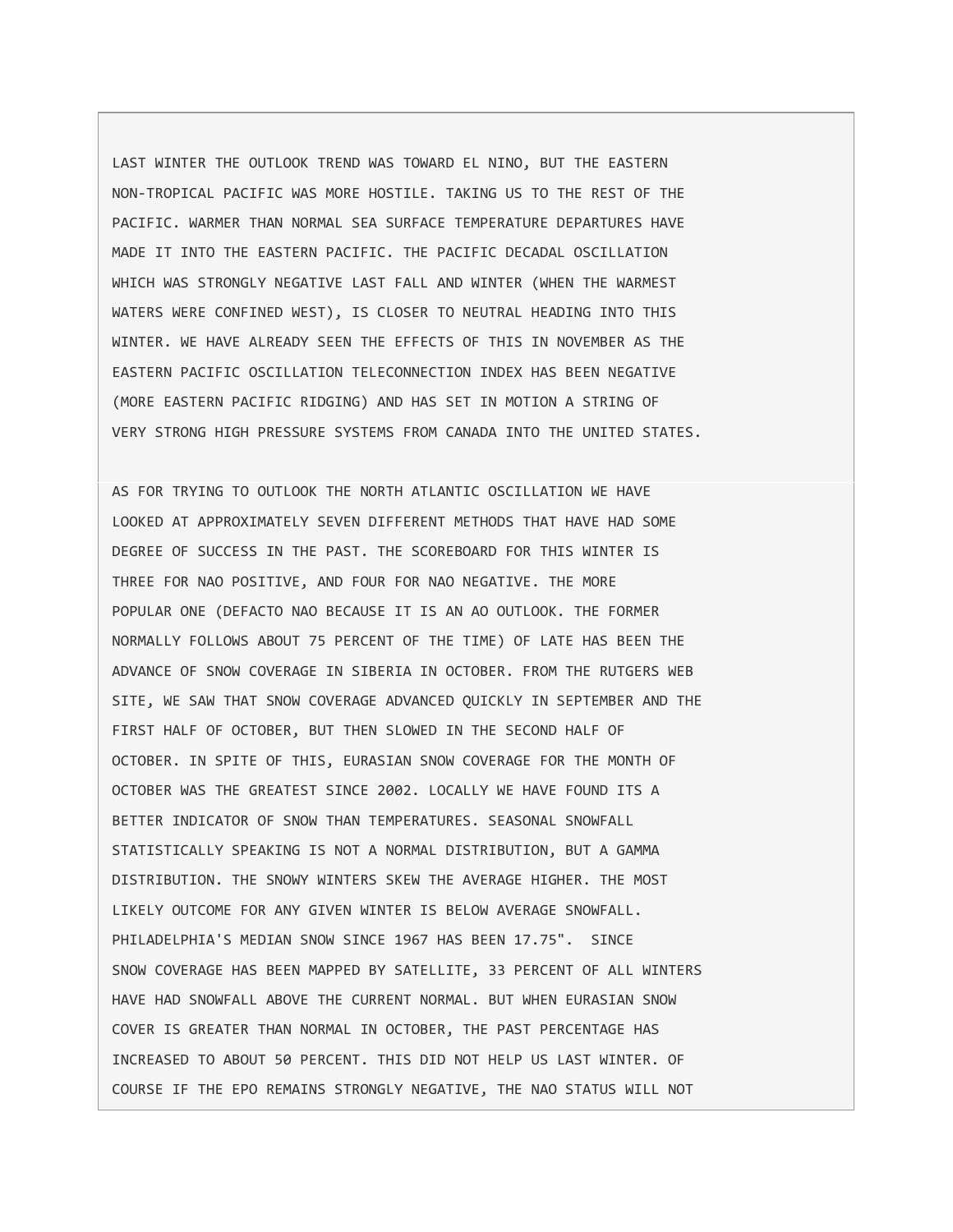LAST WINTER THE OUTLOOK TREND WAS TOWARD EL NINO, BUT THE EASTERN NON-TROPICAL PACIFIC WAS MORE HOSTILE. TAKING US TO THE REST OF THE PACIFIC. WARMER THAN NORMAL SEA SURFACE TEMPERATURE DEPARTURES HAVE MADE IT INTO THE EASTERN PACIFIC. THE PACIFIC DECADAL OSCILLATION WHICH WAS STRONGLY NEGATIVE LAST FALL AND WINTER (WHEN THE WARMEST WATERS WERE CONFINED WEST), IS CLOSER TO NEUTRAL HEADING INTO THIS WINTER. WE HAVE ALREADY SEEN THE EFFECTS OF THIS IN NOVEMBER AS THE EASTERN PACIFIC OSCILLATION TELECONNECTION INDEX HAS BEEN NEGATIVE (MORE EASTERN PACIFIC RIDGING) AND HAS SET IN MOTION A STRING OF VERY STRONG HIGH PRESSURE SYSTEMS FROM CANADA INTO THE UNITED STATES.

AS FOR TRYING TO OUTLOOK THE NORTH ATLANTIC OSCILLATION WE HAVE LOOKED AT APPROXIMATELY SEVEN DIFFERENT METHODS THAT HAVE HAD SOME DEGREE OF SUCCESS IN THE PAST. THE SCOREBOARD FOR THIS WINTER IS THREE FOR NAO POSITIVE, AND FOUR FOR NAO NEGATIVE. THE MORE POPULAR ONE (DEFACTO NAO BECAUSE IT IS AN AO OUTLOOK. THE FORMER NORMALLY FOLLOWS ABOUT 75 PERCENT OF THE TIME) OF LATE HAS BEEN THE ADVANCE OF SNOW COVERAGE IN SIBERIA IN OCTOBER. FROM THE RUTGERS WEB SITE, WE SAW THAT SNOW COVERAGE ADVANCED QUICKLY IN SEPTEMBER AND THE FIRST HALF OF OCTOBER, BUT THEN SLOWED IN THE SECOND HALF OF OCTOBER. IN SPITE OF THIS, EURASIAN SNOW COVERAGE FOR THE MONTH OF OCTOBER WAS THE GREATEST SINCE 2002. LOCALLY WE HAVE FOUND ITS A BETTER INDICATOR OF SNOW THAN TEMPERATURES. SEASONAL SNOWFALL STATISTICALLY SPEAKING IS NOT A NORMAL DISTRIBUTION, BUT A GAMMA DISTRIBUTION. THE SNOWY WINTERS SKEW THE AVERAGE HIGHER. THE MOST LIKELY OUTCOME FOR ANY GIVEN WINTER IS BELOW AVERAGE SNOWFALL. PHILADELPHIA'S MEDIAN SNOW SINCE 1967 HAS BEEN 17.75". SINCE SNOW COVERAGE HAS BEEN MAPPED BY SATELLITE, 33 PERCENT OF ALL WINTERS HAVE HAD SNOWFALL ABOVE THE CURRENT NORMAL. BUT WHEN EURASIAN SNOW COVER IS GREATER THAN NORMAL IN OCTOBER, THE PAST PERCENTAGE HAS INCREASED TO ABOUT 50 PERCENT. THIS DID NOT HELP US LAST WINTER. OF COURSE IF THE EPO REMAINS STRONGLY NEGATIVE, THE NAO STATUS WILL NOT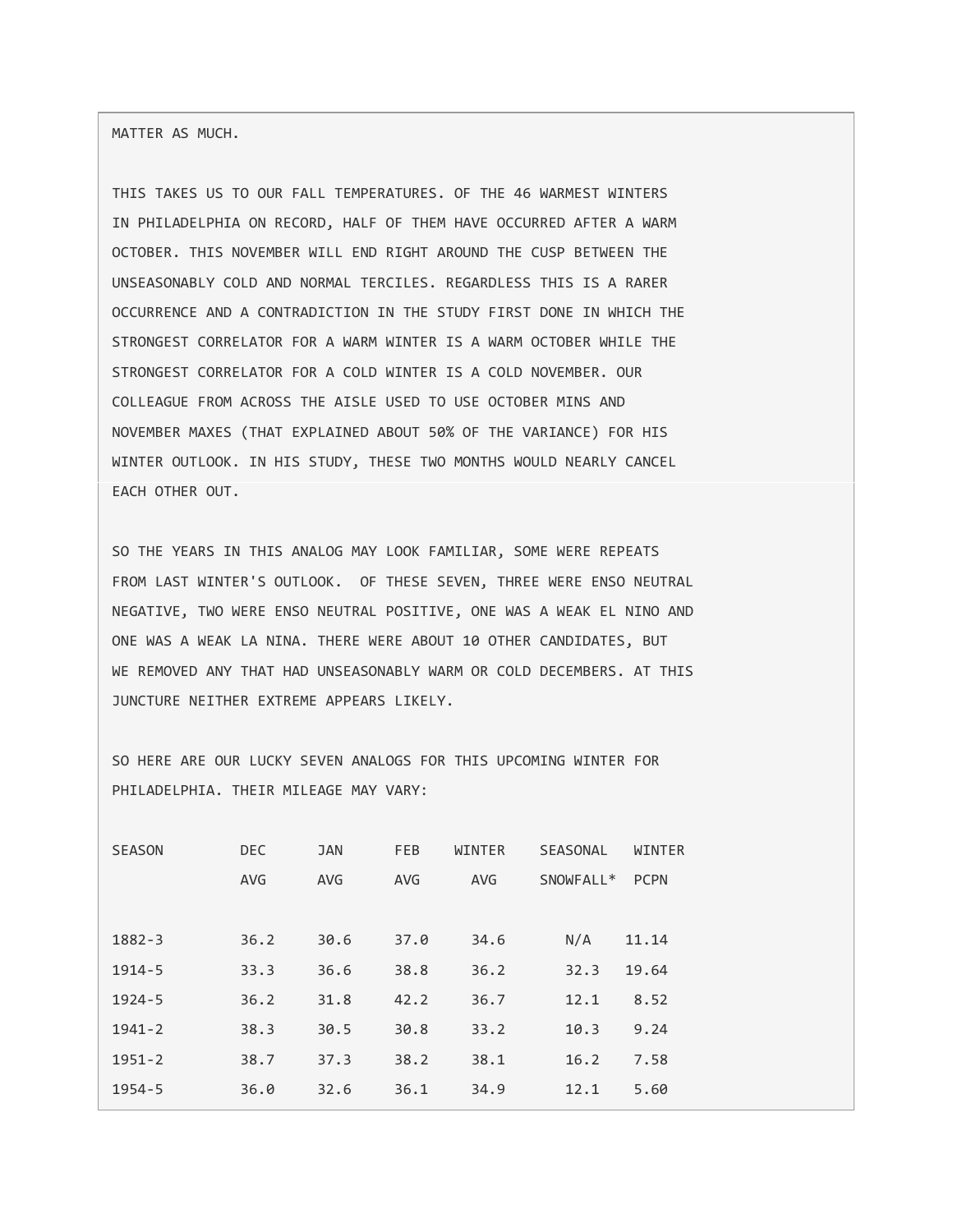MATTER AS MUCH.

THIS TAKES US TO OUR FALL TEMPERATURES. OF THE 46 WARMEST WINTERS IN PHILADELPHIA ON RECORD, HALF OF THEM HAVE OCCURRED AFTER A WARM OCTOBER. THIS NOVEMBER WILL END RIGHT AROUND THE CUSP BETWEEN THE UNSEASONABLY COLD AND NORMAL TERCILES. REGARDLESS THIS IS A RARER OCCURRENCE AND A CONTRADICTION IN THE STUDY FIRST DONE IN WHICH THE STRONGEST CORRELATOR FOR A WARM WINTER IS A WARM OCTOBER WHILE THE STRONGEST CORRELATOR FOR A COLD WINTER IS A COLD NOVEMBER. OUR COLLEAGUE FROM ACROSS THE AISLE USED TO USE OCTOBER MINS AND NOVEMBER MAXES (THAT EXPLAINED ABOUT 50% OF THE VARIANCE) FOR HIS WINTER OUTLOOK. IN HIS STUDY, THESE TWO MONTHS WOULD NEARLY CANCEL EACH OTHER OUT.

SO THE YEARS IN THIS ANALOG MAY LOOK FAMILIAR, SOME WERE REPEATS FROM LAST WINTER'S OUTLOOK. OF THESE SEVEN, THREE WERE ENSO NEUTRAL NEGATIVE, TWO WERE ENSO NEUTRAL POSITIVE, ONE WAS A WEAK EL NINO AND ONE WAS A WEAK LA NINA. THERE WERE ABOUT 10 OTHER CANDIDATES, BUT WE REMOVED ANY THAT HAD UNSEASONABLY WARM OR COLD DECEMBERS. AT THIS JUNCTURE NEITHER EXTREME APPEARS LIKELY.

SO HERE ARE OUR LUCKY SEVEN ANALOGS FOR THIS UPCOMING WINTER FOR PHILADELPHIA. THEIR MILEAGE MAY VARY:

| <b>SEASON</b> | <b>DEC</b> | <b>JAN</b> | <b>FEB</b> | WINTER     | <b>SEASONAL</b>       | WINTER      |
|---------------|------------|------------|------------|------------|-----------------------|-------------|
|               | <b>AVG</b> | <b>AVG</b> | <b>AVG</b> | <b>AVG</b> | SNOWFALL <sup>*</sup> | <b>PCPN</b> |
|               |            |            |            |            |                       |             |
| $1882 - 3$    | 36.2       | 30.6       | 37.0       | 34.6       | N/A                   | 11.14       |
| $1914 - 5$    | 33.3       | 36.6       | 38.8       | 36.2       | 32.3                  | 19.64       |
| $1924 - 5$    | 36.2       | 31.8       | 42.2       | 36.7       | 12.1                  | 8.52        |
| $1941 - 2$    | 38.3       | 30.5       | 30.8       | 33.2       | 10.3                  | 9.24        |
| $1951 - 2$    | 38.7       | 37.3       | 38.2       | 38.1       | 16.2                  | 7.58        |
| $1954 - 5$    | 36.0       | 32.6       | 36.1       | 34.9       | 12.1                  | 5.60        |
|               |            |            |            |            |                       |             |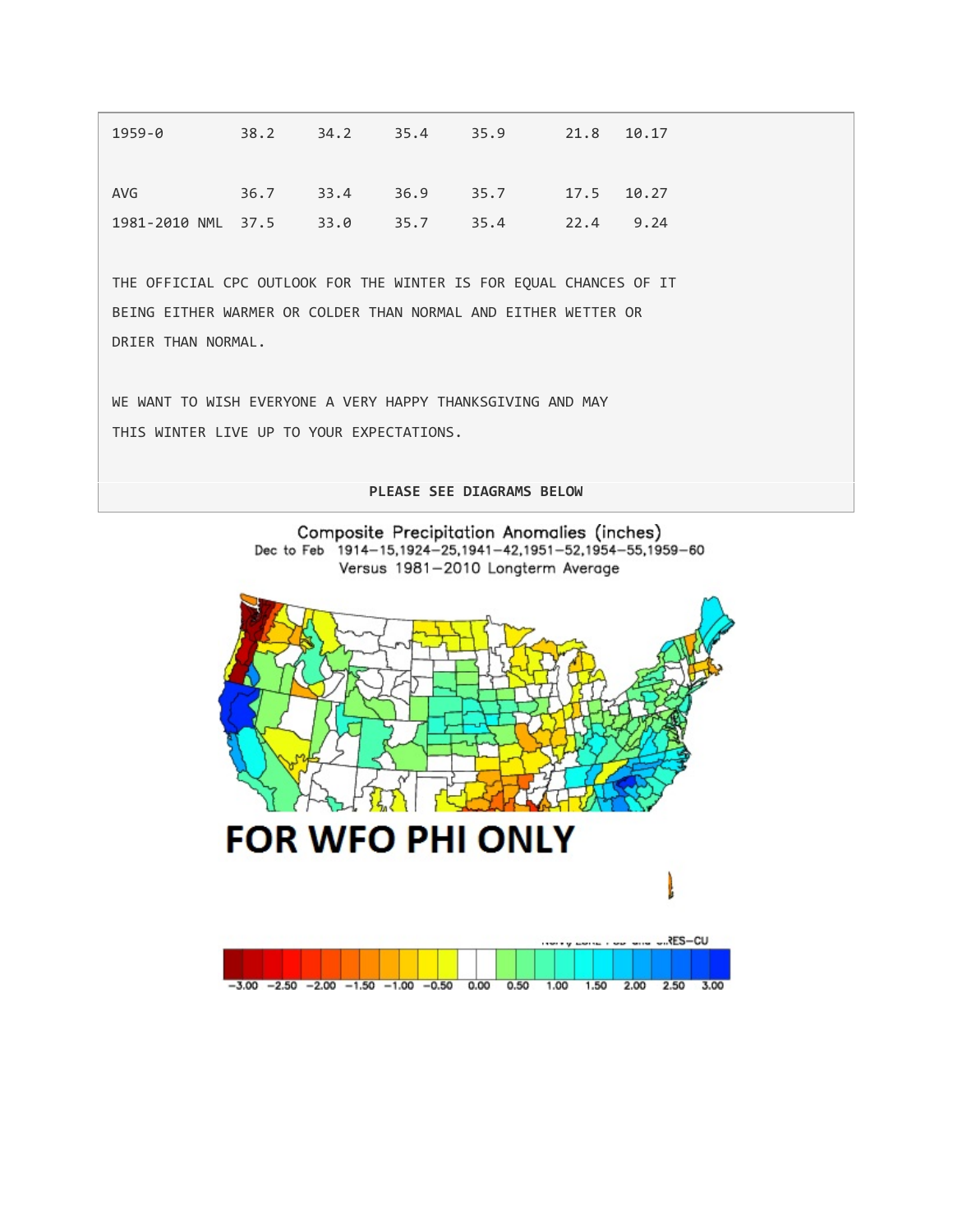| 1959-0                            | 38.2 | 34.2 | 35.4 35.9 |                                | 21.8 | 10.17 |
|-----------------------------------|------|------|-----------|--------------------------------|------|-------|
|                                   |      |      |           |                                |      |       |
|                                   |      |      |           |                                |      |       |
| AVG                               |      |      |           | 36.7 33.4 36.9 35.7 17.5 10.27 |      |       |
| 1981-2010 NML 37.5 33.0 35.7 35.4 |      |      |           |                                | 22.4 | 9.24  |

THE OFFICIAL CPC OUTLOOK FOR THE WINTER IS FOR EQUAL CHANCES OF IT BEING EITHER WARMER OR COLDER THAN NORMAL AND EITHER WETTER OR DRIER THAN NORMAL.

WE WANT TO WISH EVERYONE A VERY HAPPY THANKSGIVING AND MAY THIS WINTER LIVE UP TO YOUR EXPECTATIONS.

**PLEASE SEE DIAGRAMS BELOW**



 $-3.00$   $-2.50$   $-2.00$   $-1.50$   $-1.00$   $-0.50$  0.00  $0.50$  $1.00$  $1.50 2.00$ 2.50 3.00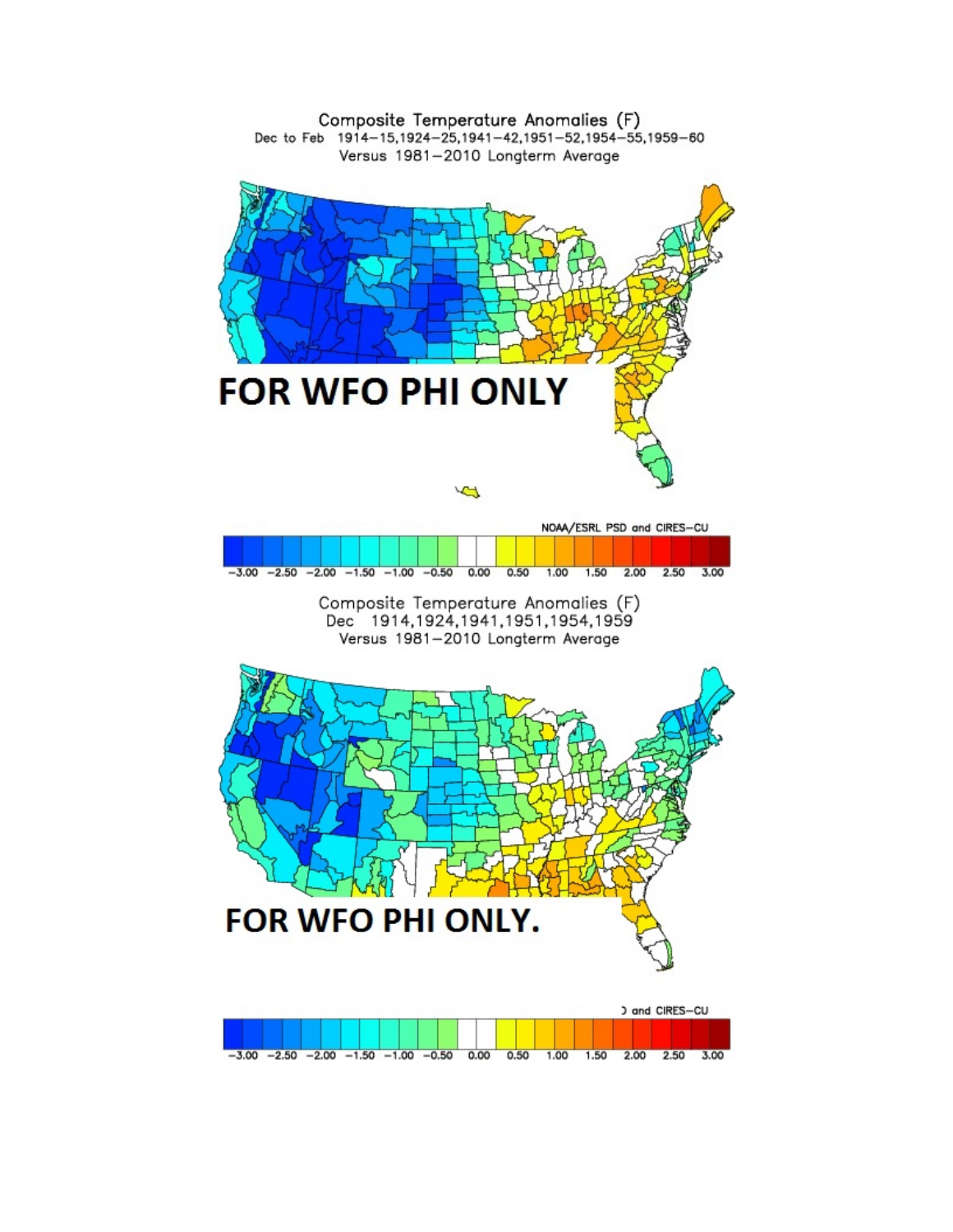